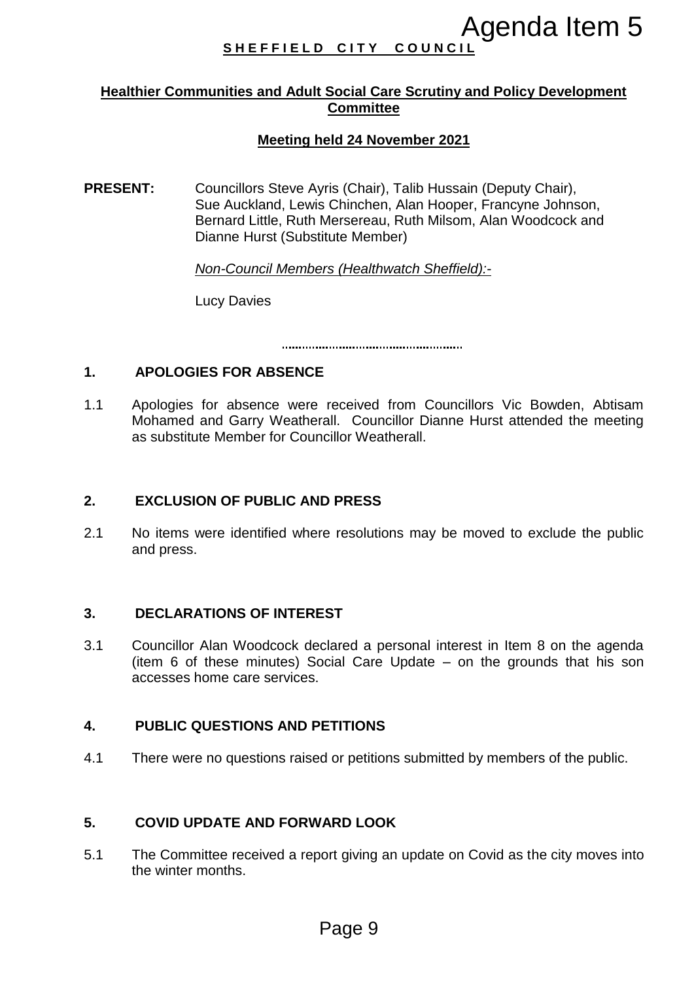# SHEFFIELD CITY COUNCI

## **Healthier Communities and Adult Social Care Scrutiny and Policy Development Committee**

# **Meeting held 24 November 2021**

**PRESENT:** Councillors Steve Ayris (Chair), Talib Hussain (Deputy Chair), Sue Auckland, Lewis Chinchen, Alan Hooper, Francyne Johnson, Bernard Little, Ruth Mersereau, Ruth Milsom, Alan Woodcock and Dianne Hurst (Substitute Member) **Agenda Item 5**<br> **Page 118 Agenda Item 5**<br> **Page 3**<br> **Page 32**<br> **Page 32**<br> **Page 321**<br> **Page 24 November 2021**<br> **Page 24 November 2021**<br> **Page 6. Alan Hooper, Francyne Johnson, S. Chinchen, Alan Moodcock and<br>
Merseneau, Ru** 

*Non-Council Members (Healthwatch Sheffield):-*

Lucy Davies

## **1. APOLOGIES FOR ABSENCE**

1.1 Apologies for absence were received from Councillors Vic Bowden, Abtisam Mohamed and Garry Weatherall. Councillor Dianne Hurst attended the meeting as substitute Member for Councillor Weatherall.

#### **2. EXCLUSION OF PUBLIC AND PRESS**

2.1 No items were identified where resolutions may be moved to exclude the public and press.

#### **3. DECLARATIONS OF INTEREST**

3.1 Councillor Alan Woodcock declared a personal interest in Item 8 on the agenda (item 6 of these minutes) Social Care Update – on the grounds that his son accesses home care services.

#### **4. PUBLIC QUESTIONS AND PETITIONS**

4.1 There were no questions raised or petitions submitted by members of the public.

#### **5. COVID UPDATE AND FORWARD LOOK**

5.1 The Committee received a report giving an update on Covid as the city moves into the winter months.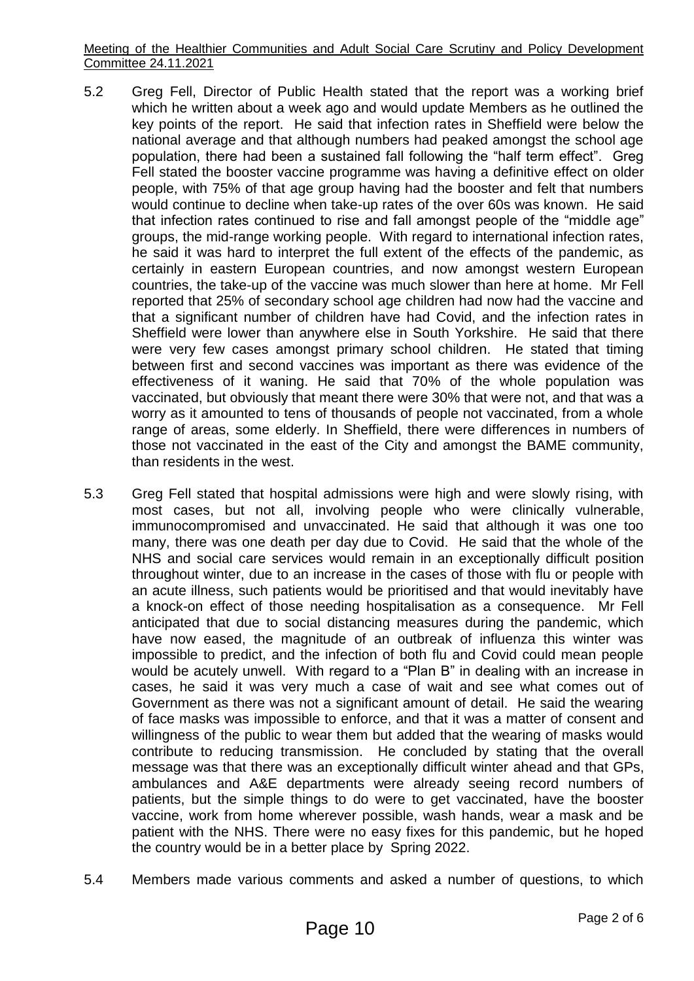Meeting of the Healthier Communities and Adult Social Care Scrutiny and Policy Development Committee 24.11.2021

- 5.2 Greg Fell, Director of Public Health stated that the report was a working brief which he written about a week ago and would update Members as he outlined the key points of the report. He said that infection rates in Sheffield were below the national average and that although numbers had peaked amongst the school age population, there had been a sustained fall following the "half term effect". Greg Fell stated the booster vaccine programme was having a definitive effect on older people, with 75% of that age group having had the booster and felt that numbers would continue to decline when take-up rates of the over 60s was known. He said that infection rates continued to rise and fall amongst people of the "middle age" groups, the mid-range working people. With regard to international infection rates, he said it was hard to interpret the full extent of the effects of the pandemic, as certainly in eastern European countries, and now amongst western European countries, the take-up of the vaccine was much slower than here at home. Mr Fell reported that 25% of secondary school age children had now had the vaccine and that a significant number of children have had Covid, and the infection rates in Sheffield were lower than anywhere else in South Yorkshire. He said that there were very few cases amongst primary school children. He stated that timing between first and second vaccines was important as there was evidence of the effectiveness of it waning. He said that 70% of the whole population was vaccinated, but obviously that meant there were 30% that were not, and that was a worry as it amounted to tens of thousands of people not vaccinated, from a whole range of areas, some elderly. In Sheffield, there were differences in numbers of those not vaccinated in the east of the City and amongst the BAME community, than residents in the west.
- 5.3 Greg Fell stated that hospital admissions were high and were slowly rising, with most cases, but not all, involving people who were clinically vulnerable, immunocompromised and unvaccinated. He said that although it was one too many, there was one death per day due to Covid. He said that the whole of the NHS and social care services would remain in an exceptionally difficult position throughout winter, due to an increase in the cases of those with flu or people with an acute illness, such patients would be prioritised and that would inevitably have a knock-on effect of those needing hospitalisation as a consequence. Mr Fell anticipated that due to social distancing measures during the pandemic, which have now eased, the magnitude of an outbreak of influenza this winter was impossible to predict, and the infection of both flu and Covid could mean people would be acutely unwell. With regard to a "Plan B" in dealing with an increase in cases, he said it was very much a case of wait and see what comes out of Government as there was not a significant amount of detail. He said the wearing of face masks was impossible to enforce, and that it was a matter of consent and willingness of the public to wear them but added that the wearing of masks would contribute to reducing transmission. He concluded by stating that the overall message was that there was an exceptionally difficult winter ahead and that GPs, ambulances and A&E departments were already seeing record numbers of patients, but the simple things to do were to get vaccinated, have the booster vaccine, work from home wherever possible, wash hands, wear a mask and be patient with the NHS. There were no easy fixes for this pandemic, but he hoped the country would be in a better place by Spring 2022.
- 5.4 Members made various comments and asked a number of questions, to which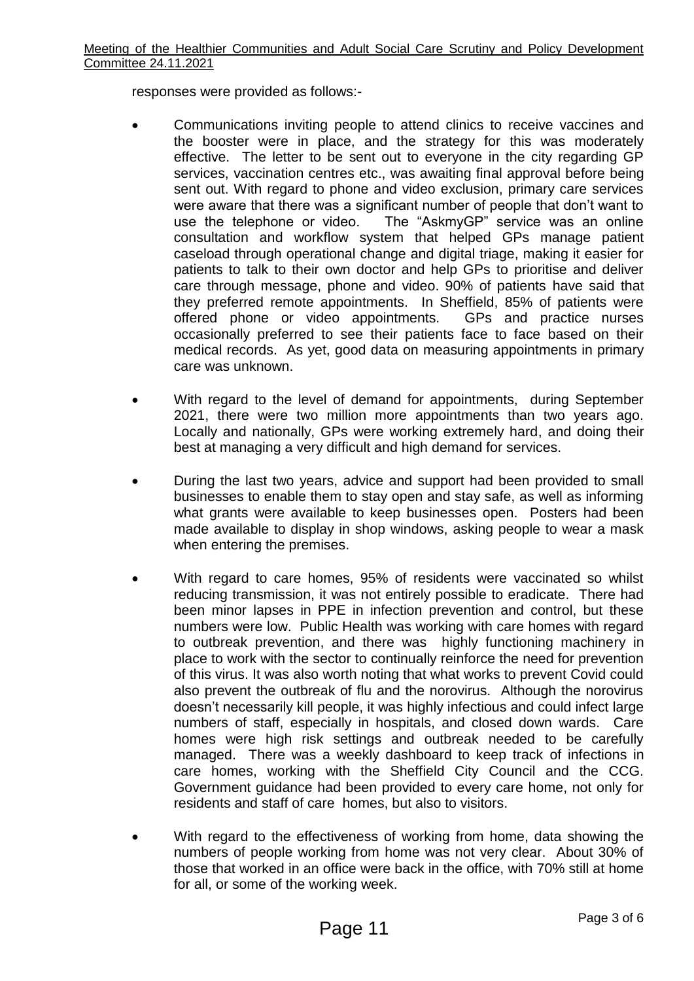responses were provided as follows:-

- Communications inviting people to attend clinics to receive vaccines and the booster were in place, and the strategy for this was moderately effective. The letter to be sent out to everyone in the city regarding GP services, vaccination centres etc., was awaiting final approval before being sent out. With regard to phone and video exclusion, primary care services were aware that there was a significant number of people that don't want to use the telephone or video. The "AskmyGP" service was an online consultation and workflow system that helped GPs manage patient caseload through operational change and digital triage, making it easier for patients to talk to their own doctor and help GPs to prioritise and deliver care through message, phone and video. 90% of patients have said that they preferred remote appointments. In Sheffield, 85% of patients were offered phone or video appointments. GPs and practice nurses occasionally preferred to see their patients face to face based on their medical records. As yet, good data on measuring appointments in primary care was unknown.
- With regard to the level of demand for appointments, during September 2021, there were two million more appointments than two years ago. Locally and nationally, GPs were working extremely hard, and doing their best at managing a very difficult and high demand for services.
- During the last two years, advice and support had been provided to small businesses to enable them to stay open and stay safe, as well as informing what grants were available to keep businesses open. Posters had been made available to display in shop windows, asking people to wear a mask when entering the premises.
- With regard to care homes, 95% of residents were vaccinated so whilst reducing transmission, it was not entirely possible to eradicate. There had been minor lapses in PPE in infection prevention and control, but these numbers were low. Public Health was working with care homes with regard to outbreak prevention, and there was highly functioning machinery in place to work with the sector to continually reinforce the need for prevention of this virus. It was also worth noting that what works to prevent Covid could also prevent the outbreak of flu and the norovirus. Although the norovirus doesn't necessarily kill people, it was highly infectious and could infect large numbers of staff, especially in hospitals, and closed down wards. Care homes were high risk settings and outbreak needed to be carefully managed. There was a weekly dashboard to keep track of infections in care homes, working with the Sheffield City Council and the CCG. Government guidance had been provided to every care home, not only for residents and staff of care homes, but also to visitors.
- With regard to the effectiveness of working from home, data showing the numbers of people working from home was not very clear. About 30% of those that worked in an office were back in the office, with 70% still at home for all, or some of the working week.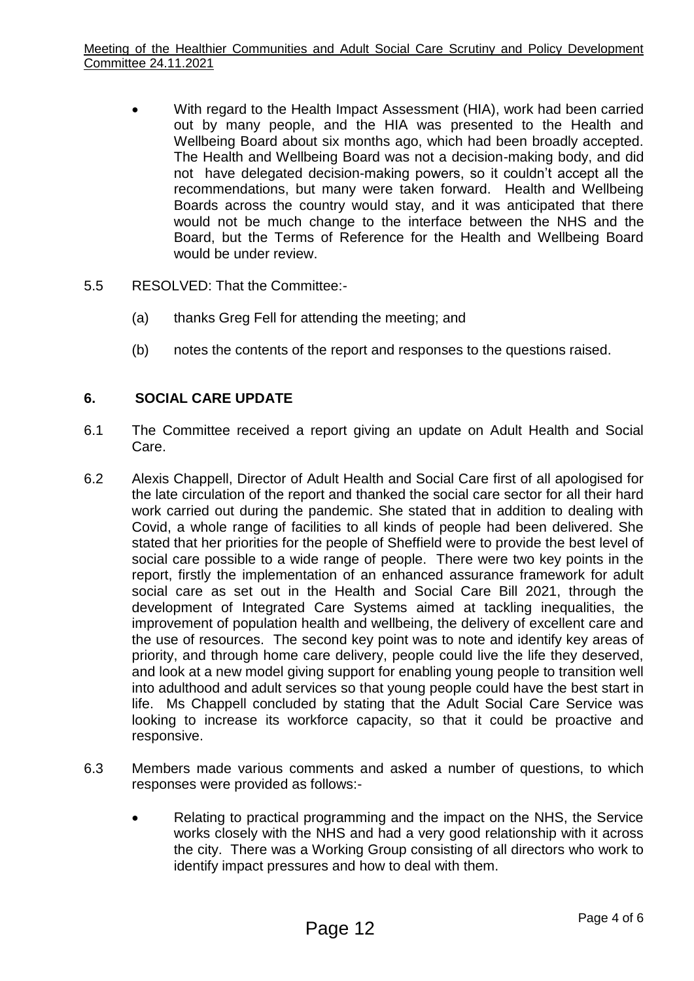- With regard to the Health Impact Assessment (HIA), work had been carried out by many people, and the HIA was presented to the Health and Wellbeing Board about six months ago, which had been broadly accepted. The Health and Wellbeing Board was not a decision-making body, and did not have delegated decision-making powers, so it couldn't accept all the recommendations, but many were taken forward. Health and Wellbeing Boards across the country would stay, and it was anticipated that there would not be much change to the interface between the NHS and the Board, but the Terms of Reference for the Health and Wellbeing Board would be under review.
- 5.5 RESOLVED: That the Committee:-
	- (a) thanks Greg Fell for attending the meeting; and
	- (b) notes the contents of the report and responses to the questions raised.

## **6. SOCIAL CARE UPDATE**

- 6.1 The Committee received a report giving an update on Adult Health and Social Care.
- 6.2 Alexis Chappell, Director of Adult Health and Social Care first of all apologised for the late circulation of the report and thanked the social care sector for all their hard work carried out during the pandemic. She stated that in addition to dealing with Covid, a whole range of facilities to all kinds of people had been delivered. She stated that her priorities for the people of Sheffield were to provide the best level of social care possible to a wide range of people. There were two key points in the report, firstly the implementation of an enhanced assurance framework for adult social care as set out in the Health and Social Care Bill 2021, through the development of Integrated Care Systems aimed at tackling inequalities, the improvement of population health and wellbeing, the delivery of excellent care and the use of resources. The second key point was to note and identify key areas of priority, and through home care delivery, people could live the life they deserved, and look at a new model giving support for enabling young people to transition well into adulthood and adult services so that young people could have the best start in life. Ms Chappell concluded by stating that the Adult Social Care Service was looking to increase its workforce capacity, so that it could be proactive and responsive.
- 6.3 Members made various comments and asked a number of questions, to which responses were provided as follows:-
	- Relating to practical programming and the impact on the NHS, the Service works closely with the NHS and had a very good relationship with it across the city. There was a Working Group consisting of all directors who work to identify impact pressures and how to deal with them.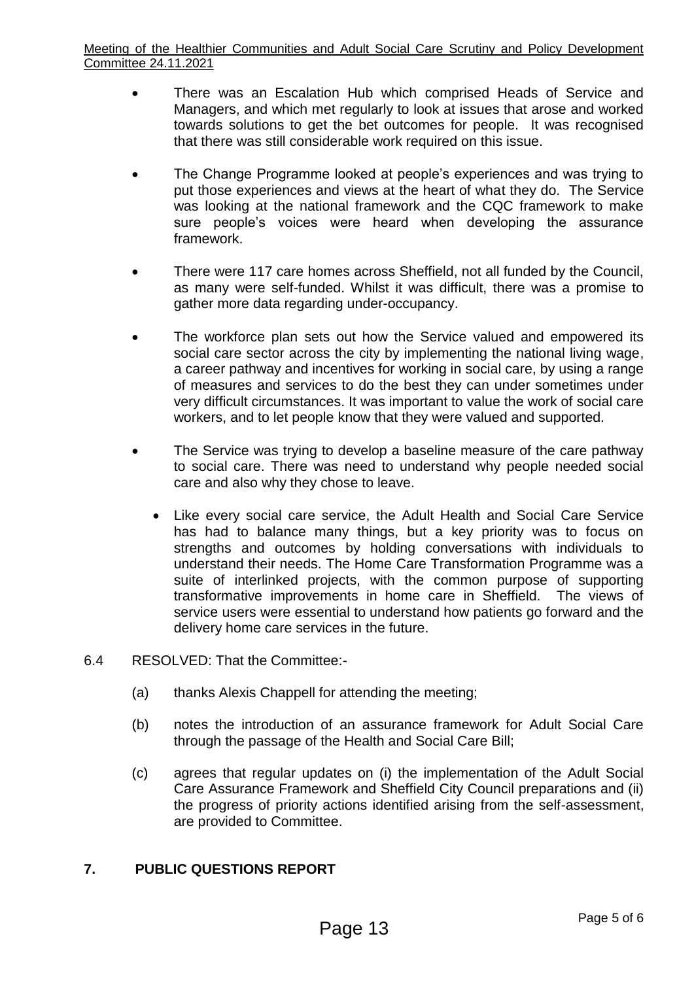- There was an Escalation Hub which comprised Heads of Service and Managers, and which met regularly to look at issues that arose and worked towards solutions to get the bet outcomes for people. It was recognised that there was still considerable work required on this issue.
- The Change Programme looked at people's experiences and was trying to put those experiences and views at the heart of what they do. The Service was looking at the national framework and the CQC framework to make sure people's voices were heard when developing the assurance framework.
- There were 117 care homes across Sheffield, not all funded by the Council, as many were self-funded. Whilst it was difficult, there was a promise to gather more data regarding under-occupancy.
- The workforce plan sets out how the Service valued and empowered its social care sector across the city by implementing the national living wage, a career pathway and incentives for working in social care, by using a range of measures and services to do the best they can under sometimes under very difficult circumstances. It was important to value the work of social care workers, and to let people know that they were valued and supported.
- The Service was trying to develop a baseline measure of the care pathway to social care. There was need to understand why people needed social care and also why they chose to leave.
	- Like every social care service, the Adult Health and Social Care Service has had to balance many things, but a key priority was to focus on strengths and outcomes by holding conversations with individuals to understand their needs. The Home Care Transformation Programme was a suite of interlinked projects, with the common purpose of supporting transformative improvements in home care in Sheffield. The views of service users were essential to understand how patients go forward and the delivery home care services in the future.
- 6.4 RESOLVED: That the Committee:-
	- (a) thanks Alexis Chappell for attending the meeting;
	- (b) notes the introduction of an assurance framework for Adult Social Care through the passage of the Health and Social Care Bill;
	- (c) agrees that regular updates on (i) the implementation of the Adult Social Care Assurance Framework and Sheffield City Council preparations and (ii) the progress of priority actions identified arising from the self-assessment, are provided to Committee.

# **7. PUBLIC QUESTIONS REPORT**